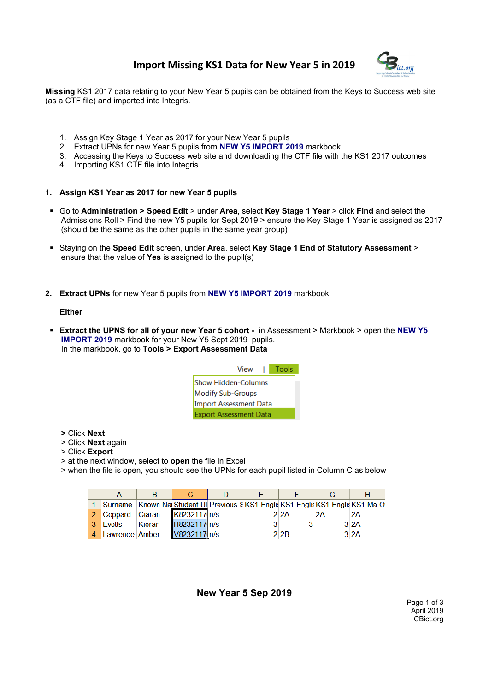# **Import Missing KS1 Data for New Year 5 in 2019**



**Missing** KS1 2017 data relating to your New Year 5 pupils can be obtained from the Keys to Success web site (as a CTF file) and imported into Integris.

- 1. Assign Key Stage 1 Year as 2017 for your New Year 5 pupils
- 2. Extract UPNs for new Year 5 pupils from **NEW Y5 IMPORT 2019** markbook
- 3. Accessing the Keys to Success web site and downloading the CTF file with the KS1 2017 outcomes
- 4. Importing KS1 CTF file into Integris
- **1. Assign KS1 Year as 2017 for new Year 5 pupils**
- Go to **Administration > Speed Edit** > under **Area**, select **Key Stage 1 Year** > click **Find** and select the Admissions Roll > Find the new Y5 pupils for Sept 2019 > ensure the Key Stage 1 Year is assigned as 2017 (should be the same as the other pupils in the same year group)
- Staying on the **Speed Edit** screen, under **Area**, select **Key Stage 1 End of Statutory Assessment** > ensure that the value of **Yes** is assigned to the pupil(s)
- **2. Extract UPNs** for new Year 5 pupils from **NEW Y5 IMPORT 2019** markbook

#### **Either**

 **Extract the UPNS for all of your new Year 5 cohort -** in Assessment > Markbook > open the **NEW Y5 IMPORT 2019** markbook for your New Y5 Sept 2019 pupils. In the markbook, go to **Tools > Export Assessment Data**



- **>** Click **Next**
- > Click **Next** again
- > Click **Export**
- > at the next window, select to **open** the file in Excel
- > when the file is open, you should see the UPNs for each pupil listed in Column C as below

|                |                | в      |              |  |       |    |                                                                                  |
|----------------|----------------|--------|--------------|--|-------|----|----------------------------------------------------------------------------------|
|                |                |        |              |  |       |    | Surname Known Nai Student Ul Previous SKS1 Englis KS1 Englis KS1 Englis KS1 Ma O |
| $\mathcal{P}$  | <b>Coppard</b> | Ciaran | K8232117 n/s |  | 2.2A  | 2Α | <b>2A</b>                                                                        |
| $\mathbf{R}$   | Evetts         | Kieran | H8232117 n/s |  |       |    | 32A                                                                              |
| $\overline{4}$ | Lawrence Amber |        | V8232117 n/s |  | 2 2 B |    | 3 <sup>2</sup> A                                                                 |

### **New Year 5 Sep 2019**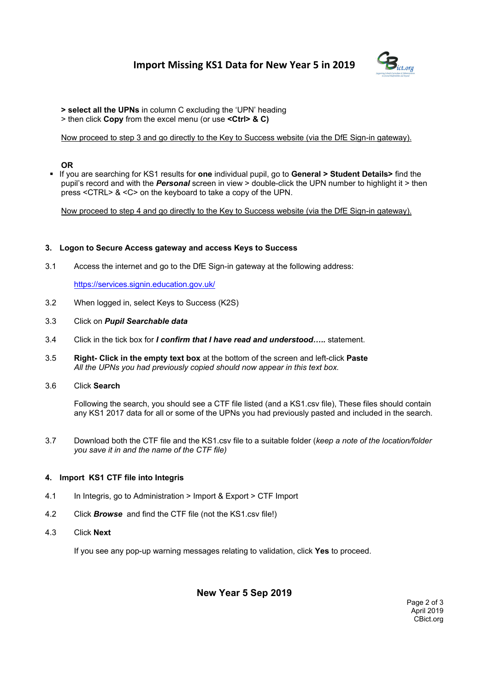# **Import Missing KS1 Data for New Year 5 in 2019**



- **> select all the UPNs** in column C excluding the 'UPN' heading
- > then click **Copy** from the excel menu (or use **<Ctrl> & C)**

Now proceed to step 3 and go directly to the Key to Success website (via the DfE Sign-in gateway).

## **OR**

 If you are searching for KS1 results for **one** individual pupil, go to **General > Student Details>** find the pupil's record and with the *Personal* screen in view > double-click the UPN number to highlight it > then press <CTRL> & <C> on the keyboard to take a copy of the UPN.

Now proceed to step 4 and go directly to the Key to Success website (via the DfE Sign-in gateway).

### **3. Logon to Secure Access gateway and access Keys to Success**

3.1 Access the internet and go to the DfE Sign-in gateway at the following address:

https://services.signin.education.gov.uk/

- 3.2 When logged in, select Keys to Success (K2S)
- 3.3 Click on *Pupil Searchable data*
- 3.4 Click in the tick box for *I confirm that I have read and understood…..* statement.
- 3.5 **Right- Click in the empty text box** at the bottom of the screen and left-click **Paste** *All the UPNs you had previously copied should now appear in this text box.*
- 3.6 Click **Search**

Following the search, you should see a CTF file listed (and a KS1.csv file), These files should contain any KS1 2017 data for all or some of the UPNs you had previously pasted and included in the search.

3.7 Download both the CTF file and the KS1.csv file to a suitable folder (*keep a note of the location/folder you save it in and the name of the CTF file)*

### **4. Import KS1 CTF file into Integris**

- 4.1 In Integris, go to Administration > Import & Export > CTF Import
- 4.2 Click *Browse* and find the CTF file (not the KS1.csv file!)
- 4.3 Click **Next**

If you see any pop-up warning messages relating to validation, click **Yes** to proceed.

# **New Year 5 Sep 2019**